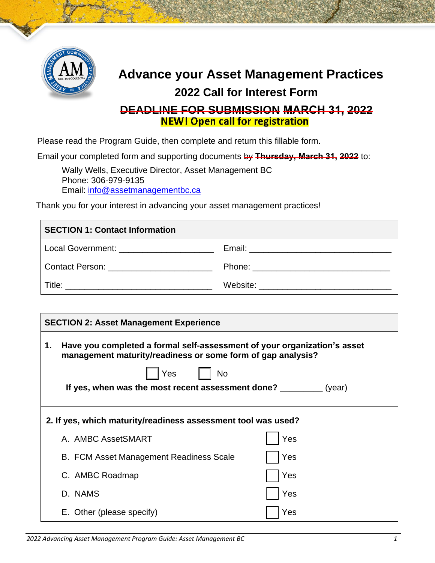

## **Advance your Asset Management Practices 2022 Call for Interest Form DEADLINE FOR SUBMISSION MARCH 31, 2022**

Please read the Program Guide, then complete and return this fillable form.

Email your completed form and supporting documents by **Thursday, March 31, 2022** to:

Wally Wells, Executive Director, Asset Management BC Phone: 306-979-9135 Email: [info@assetmanagementbc.ca](mailto:info@assetmanagementbc.ca)

Thank you for your interest in advancing your asset management practices!

| <b>SECTION 1: Contact Information</b>                                                                                                                                                                                          |                                            |  |  |  |
|--------------------------------------------------------------------------------------------------------------------------------------------------------------------------------------------------------------------------------|--------------------------------------------|--|--|--|
| Local Government: _______________________                                                                                                                                                                                      |                                            |  |  |  |
| Contact Person: Entry and the control of the control of the control of the control of the control of the control of the control of the control of the control of the control of the control of the control of the control of t |                                            |  |  |  |
|                                                                                                                                                                                                                                | Website: _________________________________ |  |  |  |

| 1. | Have you completed a formal self-assessment of your organization's asset<br>management maturity/readiness or some form of gap analysis? |     |
|----|-----------------------------------------------------------------------------------------------------------------------------------------|-----|
|    | Yes<br>No                                                                                                                               |     |
|    | If yes, when was the most recent assessment done? __________ (year)                                                                     |     |
|    |                                                                                                                                         |     |
|    | 2. If yes, which maturity/readiness assessment tool was used?                                                                           |     |
|    | A. AMBC AssetSMART                                                                                                                      | Yes |
|    | B. FCM Asset Management Readiness Scale                                                                                                 | Yes |
|    | C. AMBC Roadmap                                                                                                                         | Yes |
|    | D. NAMS                                                                                                                                 | Yes |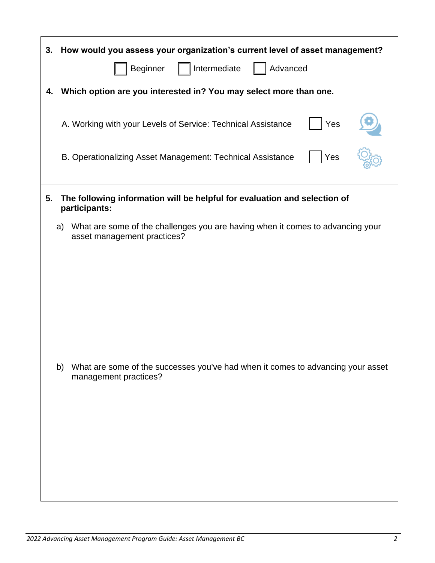| How would you assess your organization's current level of asset management?<br>3.                                   |  |  |  |  |
|---------------------------------------------------------------------------------------------------------------------|--|--|--|--|
| Advanced<br>Beginner<br>Intermediate                                                                                |  |  |  |  |
| Which option are you interested in? You may select more than one.<br>4.                                             |  |  |  |  |
| A. Working with your Levels of Service: Technical Assistance<br>Yes                                                 |  |  |  |  |
| B. Operationalizing Asset Management: Technical Assistance<br>Yes                                                   |  |  |  |  |
| 5.<br>The following information will be helpful for evaluation and selection of<br>participants:                    |  |  |  |  |
| What are some of the challenges you are having when it comes to advancing your<br>a)<br>asset management practices? |  |  |  |  |
|                                                                                                                     |  |  |  |  |
| What are some of the successes you've had when it comes to advancing your asset<br>b)<br>management practices?      |  |  |  |  |
|                                                                                                                     |  |  |  |  |